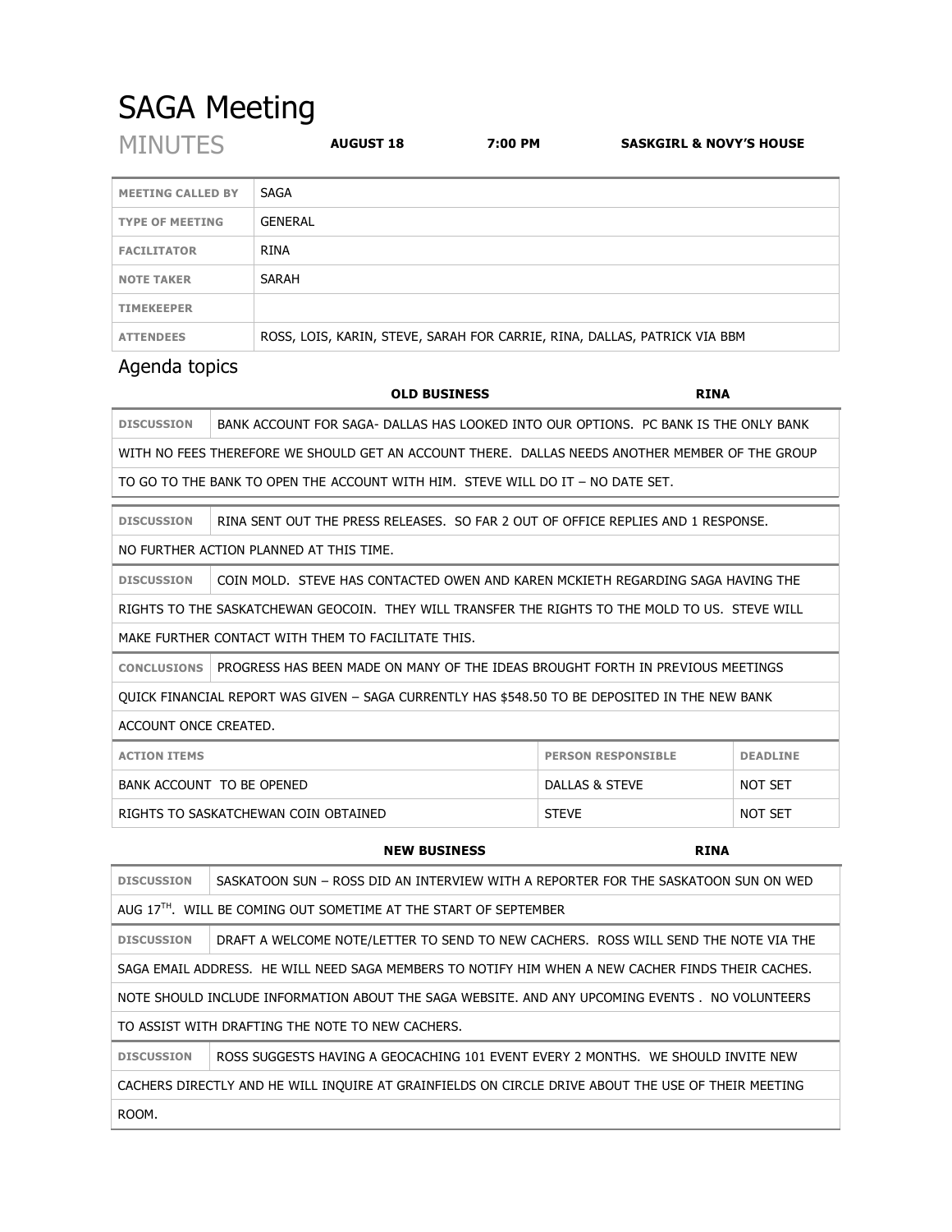## SAGA Meeting

| <b>MINUTES</b>           | <b>AUGUST 18</b> | 7:00 PM | <b>SASKGIRL &amp; NOVY'S HOUSE</b> |
|--------------------------|------------------|---------|------------------------------------|
| <b>MEETING CALLED BY</b> | <b>SAGA</b>      |         |                                    |
| <b>TYPE OF MEETING</b>   | <b>GENERAL</b>   |         |                                    |
| <b>FACILITATOR</b>       | <b>RINA</b>      |         |                                    |
| <b>NOTE TAKER</b>        | SARAH            |         |                                    |
| <b>TIMEKEEPER</b>        |                  |         |                                    |
|                          |                  |         |                                    |

**ATTENDEES** ROSS, LOIS, KARIN, STEVE, SARAH FOR CARRIE, RINA, DALLAS, PATRICK VIA BBM

## Agenda topics

|                                                                                                 | <b>OLD BUSINESS</b>                                                                             | <b>RINA</b>               |                 |  |
|-------------------------------------------------------------------------------------------------|-------------------------------------------------------------------------------------------------|---------------------------|-----------------|--|
| <b>DISCUSSION</b>                                                                               | BANK ACCOUNT FOR SAGA- DALLAS HAS LOOKED INTO OUR OPTIONS. PC BANK IS THE ONLY BANK             |                           |                 |  |
|                                                                                                 | WITH NO FEES THEREFORE WE SHOULD GET AN ACCOUNT THERE. DALLAS NEEDS ANOTHER MEMBER OF THE GROUP |                           |                 |  |
| TO GO TO THE BANK TO OPEN THE ACCOUNT WITH HIM. STEVE WILL DO IT - NO DATE SET.                 |                                                                                                 |                           |                 |  |
|                                                                                                 |                                                                                                 |                           |                 |  |
| <b>DISCUSSION</b>                                                                               | RINA SENT OUT THE PRESS RELEASES. SO FAR 2 OUT OF OFFICE REPLIES AND 1 RESPONSE.                |                           |                 |  |
| NO FURTHER ACTION PLANNED AT THIS TIME.                                                         |                                                                                                 |                           |                 |  |
| <b>DISCUSSION</b>                                                                               | COIN MOLD. STEVE HAS CONTACTED OWEN AND KAREN MCKIETH REGARDING SAGA HAVING THE                 |                           |                 |  |
| RIGHTS TO THE SASKATCHEWAN GEOCOIN. THEY WILL TRANSEER THE RIGHTS TO THE MOLD TO US. STEVE WILL |                                                                                                 |                           |                 |  |
| MAKE FURTHER CONTACT WITH THEM TO FACILITATE THIS.                                              |                                                                                                 |                           |                 |  |
| <b>CONCLUSIONS</b>                                                                              | PROGRESS HAS BEEN MADE ON MANY OF THE IDEAS BROUGHT FORTH IN PREVIOUS MEETINGS                  |                           |                 |  |
| OUICK FINANCIAL REPORT WAS GIVEN – SAGA CURRENTLY HAS \$548.50 TO BE DEPOSITED IN THE NEW BANK  |                                                                                                 |                           |                 |  |
| ACCOUNT ONCE CREATED.                                                                           |                                                                                                 |                           |                 |  |
| <b>ACTION ITEMS</b>                                                                             |                                                                                                 | <b>PERSON RESPONSIBLE</b> | <b>DEADLINE</b> |  |
| BANK ACCOUNT TO BE OPENED                                                                       |                                                                                                 | DALLAS & STEVE            | <b>NOT SET</b>  |  |
| <b>STEVE</b><br><b>NOT SET</b><br>RIGHTS TO SASKATCHEWAN COIN OBTAINED                          |                                                                                                 |                           |                 |  |

|                                                                                                    | <b>NEW BUSINESS</b>                                                                 | <b>RINA</b> |  |
|----------------------------------------------------------------------------------------------------|-------------------------------------------------------------------------------------|-------------|--|
| <b>DISCUSSION</b>                                                                                  | SASKATOON SUN - ROSS DID AN INTERVIEW WITH A REPORTER FOR THE SASKATOON SUN ON WED  |             |  |
| AUG 17 <sup>TH</sup> . WILL BE COMING OUT SOMETIME AT THE START OF SEPTEMBER                       |                                                                                     |             |  |
| <b>DISCUSSION</b>                                                                                  | DRAFT A WELCOME NOTE/LETTER TO SEND TO NEW CACHERS. ROSS WILL SEND THE NOTE VIA THE |             |  |
| SAGA EMAIL ADDRESS. HE WILL NEED SAGA MEMBERS TO NOTIFY HIM WHEN A NEW CACHER FINDS THEIR CACHES.  |                                                                                     |             |  |
| NOTE SHOULD INCLUDE INFORMATION ABOUT THE SAGA WEBSITE. AND ANY UPCOMING EVENTS . NO VOLUNTEERS    |                                                                                     |             |  |
| TO ASSIST WITH DRAFTING THE NOTE TO NEW CACHERS.                                                   |                                                                                     |             |  |
| <b>DISCUSSION</b>                                                                                  | ROSS SUGGESTS HAVING A GEOCACHING 101 EVENT EVERY 2 MONTHS. WE SHOULD INVITE NEW    |             |  |
| CACHERS DIRECTLY AND HE WILL INQUIRE AT GRAINFIELDS ON CIRCLE DRIVE ABOUT THE USE OF THEIR MEETING |                                                                                     |             |  |
| ROOM.                                                                                              |                                                                                     |             |  |